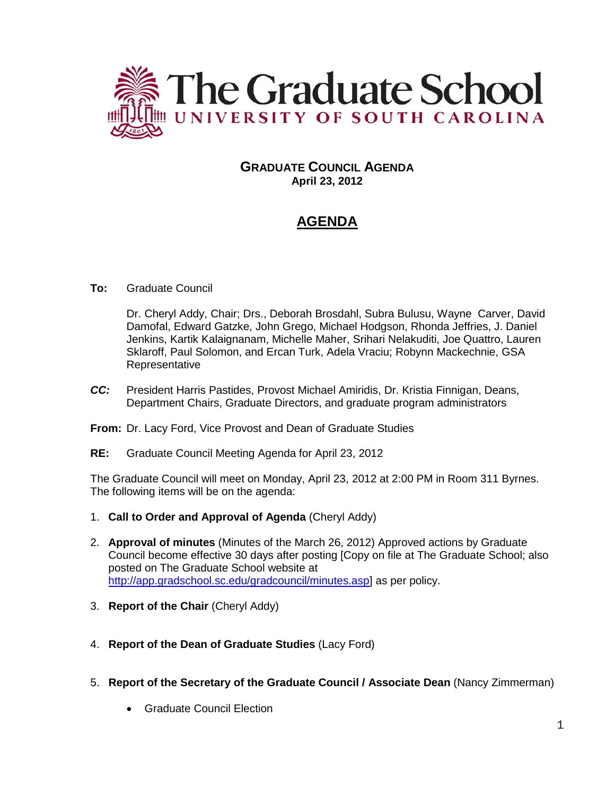

## **GRADUATE COUNCIL AGENDA April 23, 2012**

# **AGENDA**

## **To:** Graduate Council

Dr. Cheryl Addy, Chair; Drs., Deborah Brosdahl, Subra Bulusu, Wayne Carver, David Damofal, Edward Gatzke, John Grego, Michael Hodgson, Rhonda Jeffries, J. Daniel Jenkins, Kartik Kalaignanam, Michelle Maher, Srihari Nelakuditi, Joe Quattro, Lauren Sklaroff, Paul Solomon, and Ercan Turk, Adela Vraciu; Robynn Mackechnie, GSA Representative

- *CC:* President Harris Pastides, Provost Michael Amiridis, Dr. Kristia Finnigan, Deans, Department Chairs, Graduate Directors, and graduate program administrators
- **From:** Dr. Lacy Ford, Vice Provost and Dean of Graduate Studies
- **RE:** Graduate Council Meeting Agenda for April 23, 2012

The Graduate Council will meet on Monday, April 23, 2012 at 2:00 PM in Room 311 Byrnes. The following items will be on the agenda:

- 1. **Call to Order and Approval of Agenda** (Cheryl Addy)
- 2. **Approval of minutes** (Minutes of the March 26, 2012) Approved actions by Graduate Council become effective 30 days after posting [Copy on file at The Graduate School; also posted on The Graduate School website at [http://app.gradschool.sc.edu/gradcouncil/minutes.asp\]](http://app.gradschool.sc.edu/gradcouncil/minutes.asp) as per policy.
- 3. **Report of the Chair** (Cheryl Addy)
- 4. **Report of the Dean of Graduate Studies** (Lacy Ford)
- 5. **Report of the Secretary of the Graduate Council / Associate Dean** (Nancy Zimmerman)
	- Graduate Council Election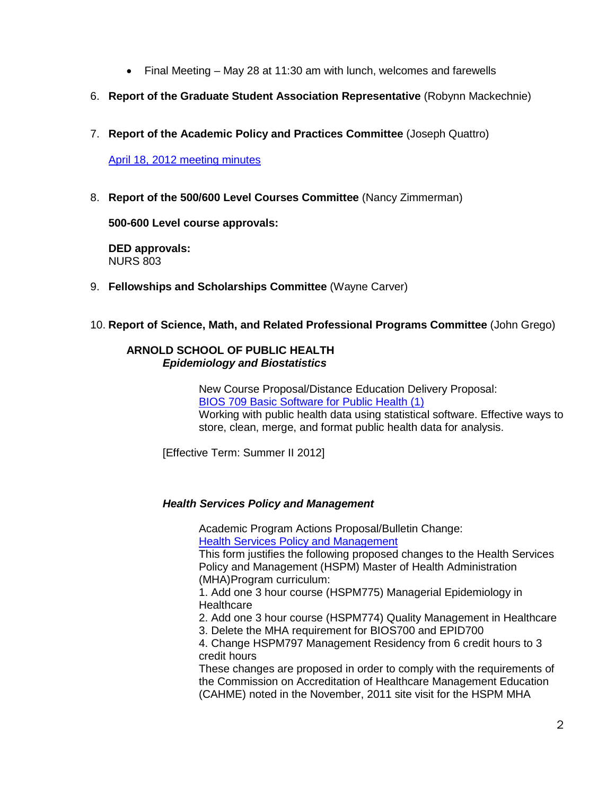- Final Meeting May 28 at 11:30 am with lunch, welcomes and farewells
- 6. **Report of the Graduate Student Association Representative** (Robynn Mackechnie)
- 7. **Report of the Academic Policy and Practices Committee** (Joseph Quattro)

## April 18, 2012 meeting minutes

8. **Report of the 500/600 Level Courses Committee** (Nancy Zimmerman)

**500-600 Level course approvals:**

**DED approvals:** NURS 803

9. **Fellowships and Scholarships Committee** (Wayne Carver)

## 10. **Report of Science, Math, and Related Professional Programs Committee** (John Grego)

### **ARNOLD SCHOOL OF PUBLIC HEALTH** *Epidemiology and Biostatistics*

New Course Proposal/Distance Education Delivery Proposal: [BIOS 709 Basic Software for Public Health \(1\)](http://app.gradschool.sc.edu/includes/filedownload-public.asp?location=E:\GMS\GRADCOUNCIL\2011\NCPBIOS709_201211.pdf&file_name=NCPBIOS709_201211.pdf) Working with public health data using statistical software. Effective ways to store, clean, merge, and format public health data for analysis.

[Effective Term: Summer II 2012]

## *Health Services Policy and Management*

Academic Program Actions Proposal/Bulletin Change: **[Health Services Policy and Management](http://app.gradschool.sc.edu/includes/filedownload-public.asp?location=E:\GMS\GRADCOUNCIL\2011\APA%20MHA%20final.pdf&file_name=APA%20MHA%20final.pdf)** 

This form justifies the following proposed changes to the Health Services Policy and Management (HSPM) Master of Health Administration (MHA)Program curriculum:

1. Add one 3 hour course (HSPM775) Managerial Epidemiology in **Healthcare** 

2. Add one 3 hour course (HSPM774) Quality Management in Healthcare

3. Delete the MHA requirement for BIOS700 and EPID700

4. Change HSPM797 Management Residency from 6 credit hours to 3 credit hours

These changes are proposed in order to comply with the requirements of the Commission on Accreditation of Healthcare Management Education (CAHME) noted in the November, 2011 site visit for the HSPM MHA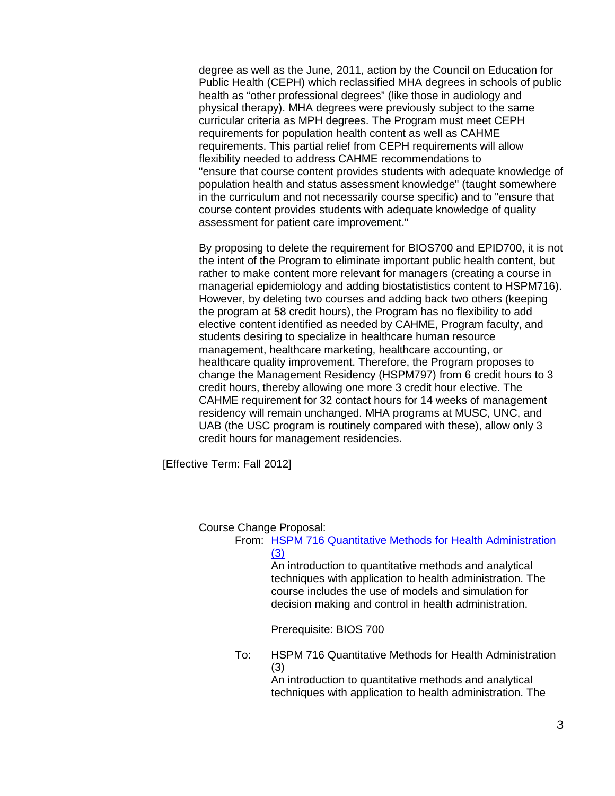degree as well as the June, 2011, action by the Council on Education for Public Health (CEPH) which reclassified MHA degrees in schools of public health as "other professional degrees" (like those in audiology and physical therapy). MHA degrees were previously subject to the same curricular criteria as MPH degrees. The Program must meet CEPH requirements for population health content as well as CAHME requirements. This partial relief from CEPH requirements will allow flexibility needed to address CAHME recommendations to "ensure that course content provides students with adequate knowledge of population health and status assessment knowledge" (taught somewhere in the curriculum and not necessarily course specific) and to "ensure that course content provides students with adequate knowledge of quality assessment for patient care improvement."

By proposing to delete the requirement for BIOS700 and EPID700, it is not the intent of the Program to eliminate important public health content, but rather to make content more relevant for managers (creating a course in managerial epidemiology and adding biostatististics content to HSPM716). However, by deleting two courses and adding back two others (keeping the program at 58 credit hours), the Program has no flexibility to add elective content identified as needed by CAHME, Program faculty, and students desiring to specialize in healthcare human resource management, healthcare marketing, healthcare accounting, or healthcare quality improvement. Therefore, the Program proposes to change the Management Residency (HSPM797) from 6 credit hours to 3 credit hours, thereby allowing one more 3 credit hour elective. The CAHME requirement for 32 contact hours for 14 weeks of management residency will remain unchanged. MHA programs at MUSC, UNC, and UAB (the USC program is routinely compared with these), allow only 3 credit hours for management residencies.

[Effective Term: Fall 2012]

#### Course Change Proposal:

| From: HSPM 716 Quantitative Methods for Health Administration |
|---------------------------------------------------------------|
| (3)                                                           |
| An introduction to quantitative methods and analytical        |
| techniques with application to health administration. The     |
| course includes the use of models and simulation for          |
| decision making and control in health administration.         |

Prerequisite: BIOS 700

To: HSPM 716 Quantitative Methods for Health Administration (3)

An introduction to quantitative methods and analytical techniques with application to health administration. The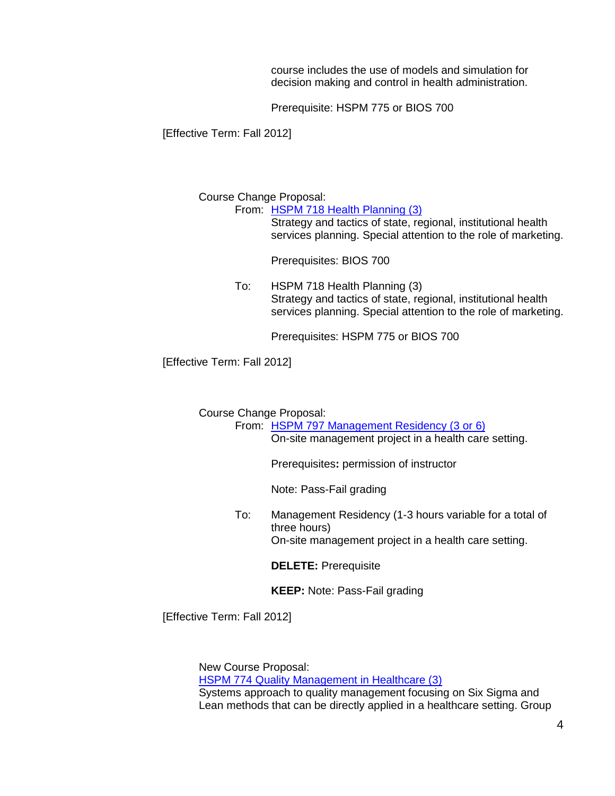course includes the use of models and simulation for decision making and control in health administration.

Prerequisite: HSPM 775 or BIOS 700

[Effective Term: Fall 2012]

Course Change Proposal:

From: [HSPM 718 Health Planning \(3\)](http://app.gradschool.sc.edu/includes/filedownload-public.asp?location=E:\GMS\GRADCOUNCIL\2011\CCPHSPM718_201211.pdf&file_name=CCPHSPM718_201211.pdf)

Strategy and tactics of state, regional, institutional health services planning. Special attention to the role of marketing.

Prerequisites: BIOS 700

To: HSPM 718 Health Planning (3) Strategy and tactics of state, regional, institutional health services planning. Special attention to the role of marketing.

Prerequisites: HSPM 775 or BIOS 700

[Effective Term: Fall 2012]

Course Change Proposal:

From: [HSPM 797 Management Residency \(3 or 6\)](http://app.gradschool.sc.edu/includes/filedownload-public.asp?location=E:\GMS\GRADCOUNCIL\2011\CCP%20HSPM%20797%20%20revised%2015%20April.pdf&file_name=CCP%20HSPM%20797%20%20revised%2015%20April.pdf) On-site management project in a health care setting.

Prerequisites**:** permission of instructor

Note: Pass-Fail grading

To: Management Residency (1-3 hours variable for a total of three hours) On-site management project in a health care setting.

**DELETE:** Prerequisite

**KEEP:** Note: Pass-Fail grading

[Effective Term: Fall 2012]

New Course Proposal: [HSPM 774 Quality Management in Healthcare \(3\)](http://app.gradschool.sc.edu/includes/filedownload-public.asp?location=E:\GMS\GRADCOUNCIL\2011\NCPHSPM774_201211.pdf&file_name=NCPHSPM774_201211.pdf) Systems approach to quality management focusing on Six Sigma and Lean methods that can be directly applied in a healthcare setting. Group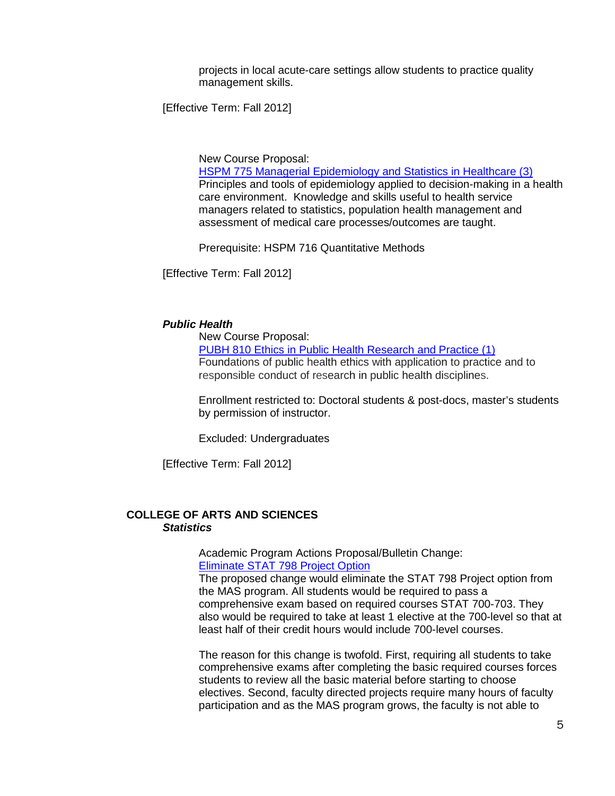projects in local acute-care settings allow students to practice quality management skills.

[Effective Term: Fall 2012]

New Course Proposal:

[HSPM 775 Managerial Epidemiology and Statistics in Healthcare \(3\)](http://app.gradschool.sc.edu/includes/filedownload-public.asp?location=E:\GMS\GRADCOUNCIL\2011\NCPHSPM775_201211.pdf&file_name=NCPHSPM775_201211.pdf) Principles and tools of epidemiology applied to decision-making in a health care environment. Knowledge and skills useful to health service managers related to statistics, population health management and assessment of medical care processes/outcomes are taught.

Prerequisite: HSPM 716 Quantitative Methods

[Effective Term: Fall 2012]

#### *Public Health*

New Course Proposal:

[PUBH 810 Ethics in Public Health Research and Practice \(1\)](http://app.gradschool.sc.edu/includes/filedownload-public.asp?location=E:\GMS\GRADCOUNCIL\2011\NCPPUBH810_201211.pdf&file_name=NCPPUBH810_201211.pdf) Foundations of public health ethics with application to practice and to responsible conduct of research in public health disciplines.

Enrollment restricted to: Doctoral students & post-docs, master's students by permission of instructor.

Excluded: Undergraduates

[Effective Term: Fall 2012]

### **COLLEGE OF ARTS AND SCIENCES** *Statistics*

Academic Program Actions Proposal/Bulletin Change: [Eliminate STAT 798 Project Option](http://app.gradschool.sc.edu/includes/filedownload-public.asp?location=E:\GMS\GRADCOUNCIL\2011\APASTATPROJOPT_201211.pdf&file_name=APASTATPROJOPT_201211.pdf)

The proposed change would eliminate the STAT 798 Project option from the MAS program. All students would be required to pass a comprehensive exam based on required courses STAT 700-703. They also would be required to take at least 1 elective at the 700-level so that at least half of their credit hours would include 700-level courses.

The reason for this change is twofold. First, requiring all students to take comprehensive exams after completing the basic required courses forces students to review all the basic material before starting to choose electives. Second, faculty directed projects require many hours of faculty participation and as the MAS program grows, the faculty is not able to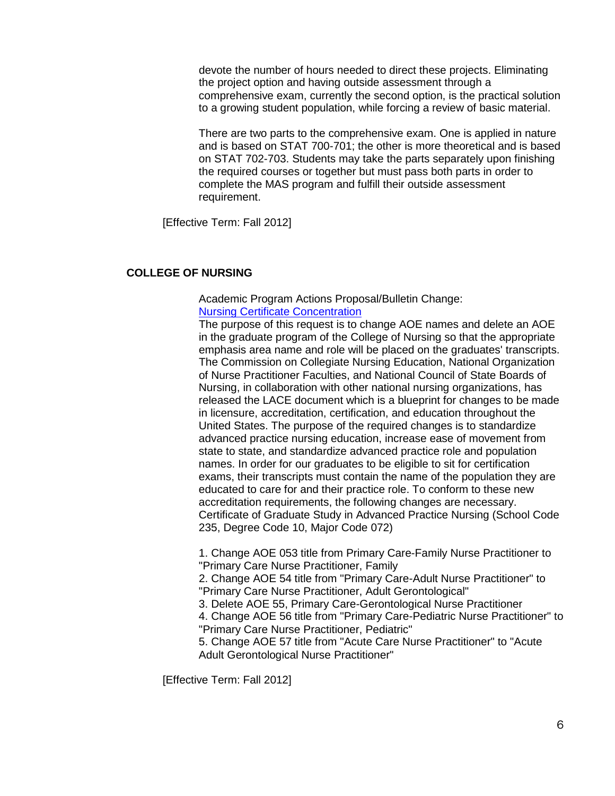devote the number of hours needed to direct these projects. Eliminating the project option and having outside assessment through a comprehensive exam, currently the second option, is the practical solution to a growing student population, while forcing a review of basic material.

There are two parts to the comprehensive exam. One is applied in nature and is based on STAT 700-701; the other is more theoretical and is based on STAT 702-703. Students may take the parts separately upon finishing the required courses or together but must pass both parts in order to complete the MAS program and fulfill their outside assessment requirement.

[Effective Term: Fall 2012]

## **COLLEGE OF NURSING**

Academic Program Actions Proposal/Bulletin Change: [Nursing Certificate Concentration](http://app.gradschool.sc.edu/includes/filedownload-public.asp?location=E:\GMS\GRADCOUNCIL\2011\APANURSCERT_201211.pdf&file_name=APANURSCERT_201211.pdf)

The purpose of this request is to change AOE names and delete an AOE in the graduate program of the College of Nursing so that the appropriate emphasis area name and role will be placed on the graduates' transcripts. The Commission on Collegiate Nursing Education, National Organization of Nurse Practitioner Faculties, and National Council of State Boards of Nursing, in collaboration with other national nursing organizations, has released the LACE document which is a blueprint for changes to be made in licensure, accreditation, certification, and education throughout the United States. The purpose of the required changes is to standardize advanced practice nursing education, increase ease of movement from state to state, and standardize advanced practice role and population names. In order for our graduates to be eligible to sit for certification exams, their transcripts must contain the name of the population they are educated to care for and their practice role. To conform to these new accreditation requirements, the following changes are necessary. Certificate of Graduate Study in Advanced Practice Nursing (School Code 235, Degree Code 10, Major Code 072)

1. Change AOE 053 title from Primary Care-Family Nurse Practitioner to "Primary Care Nurse Practitioner, Family

2. Change AOE 54 title from "Primary Care-Adult Nurse Practitioner" to "Primary Care Nurse Practitioner, Adult Gerontological"

3. Delete AOE 55, Primary Care-Gerontological Nurse Practitioner

4. Change AOE 56 title from "Primary Care-Pediatric Nurse Practitioner" to "Primary Care Nurse Practitioner, Pediatric"

5. Change AOE 57 title from "Acute Care Nurse Practitioner" to "Acute Adult Gerontological Nurse Practitioner"

[Effective Term: Fall 2012]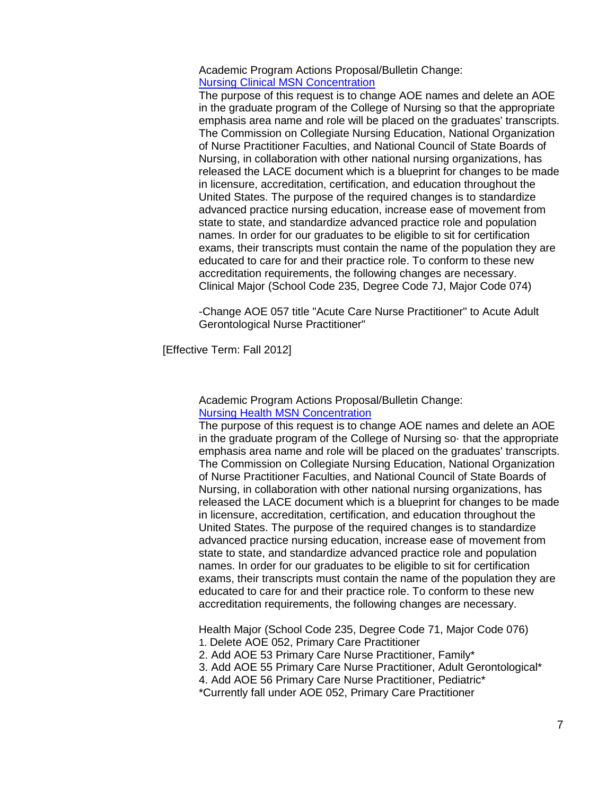Academic Program Actions Proposal/Bulletin Change: [Nursing Clinical MSN Concentration](http://app.gradschool.sc.edu/includes/filedownload-public.asp?location=E:\GMS\GRADCOUNCIL\2011\APANURSCMSN_201211.pdf&file_name=APANURSCMSN_201211.pdf)

The purpose of this request is to change AOE names and delete an AOE in the graduate program of the College of Nursing so that the appropriate emphasis area name and role will be placed on the graduates' transcripts. The Commission on Collegiate Nursing Education, National Organization of Nurse Practitioner Faculties, and National Council of State Boards of Nursing, in collaboration with other national nursing organizations, has released the LACE document which is a blueprint for changes to be made in licensure, accreditation, certification, and education throughout the United States. The purpose of the required changes is to standardize advanced practice nursing education, increase ease of movement from state to state, and standardize advanced practice role and population names. In order for our graduates to be eligible to sit for certification exams, their transcripts must contain the name of the population they are educated to care for and their practice role. To conform to these new accreditation requirements, the following changes are necessary. Clinical Major (School Code 235, Degree Code 7J, Major Code 074)

-Change AOE 057 title "Acute Care Nurse Practitioner" to Acute Adult Gerontological Nurse Practitioner"

[Effective Term: Fall 2012]

Academic Program Actions Proposal/Bulletin Change: [Nursing Health MSN Concentration](http://app.gradschool.sc.edu/includes/filedownload-public.asp?location=E:\GMS\GRADCOUNCIL\2011\APANURSHMSN_201211.pdf&file_name=APANURSHMSN_201211.pdf)

The purpose of this request is to change AOE names and delete an AOE in the graduate program of the College of Nursing so· that the appropriate emphasis area name and role will be placed on the graduates' transcripts. The Commission on Collegiate Nursing Education, National Organization of Nurse Practitioner Faculties, and National Council of State Boards of Nursing, in collaboration with other national nursing organizations, has released the LACE document which is a blueprint for changes to be made in licensure, accreditation, certification, and education throughout the United States. The purpose of the required changes is to standardize advanced practice nursing education, increase ease of movement from state to state, and standardize advanced practice role and population names. In order for our graduates to be eligible to sit for certification exams, their transcripts must contain the name of the population they are educated to care for and their practice role. To conform to these new accreditation requirements, the following changes are necessary.

Health Major (School Code 235, Degree Code 71, Major Code 076) 1. Delete AOE 052, Primary Care Practitioner

2. Add AOE 53 Primary Care Nurse Practitioner, Family\*

3. Add AOE 55 Primary Care Nurse Practitioner, Adult Gerontological\*

4. Add AOE 56 Primary Care Nurse Practitioner, Pediatric\*

\*Currently fall under AOE 052, Primary Care Practitioner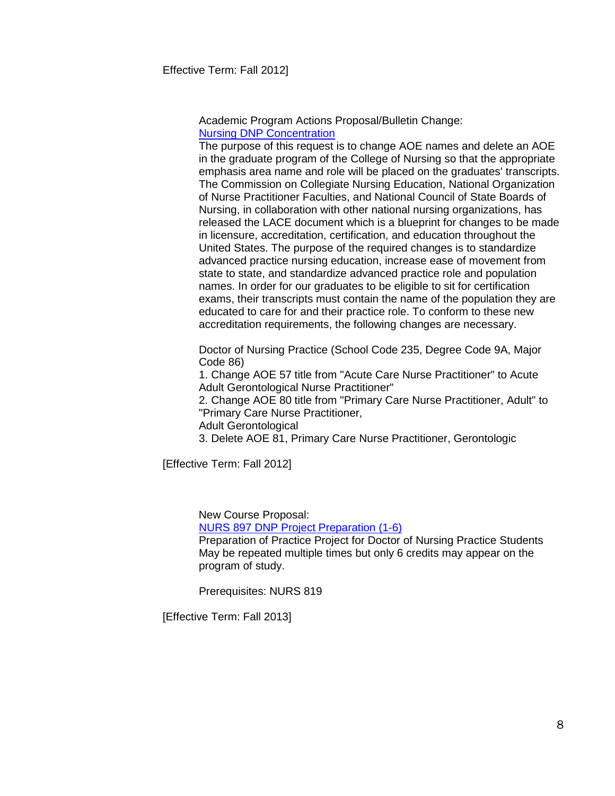Academic Program Actions Proposal/Bulletin Change: [Nursing DNP Concentration](http://app.gradschool.sc.edu/includes/filedownload-public.asp?location=E:\GMS\GRADCOUNCIL\2011\APANURSDNP_201211.pdf&file_name=APANURSDNP_201211.pdf)

The purpose of this request is to change AOE names and delete an AOE in the graduate program of the College of Nursing so that the appropriate emphasis area name and role will be placed on the graduates' transcripts. The Commission on Collegiate Nursing Education, National Organization of Nurse Practitioner Faculties, and National Council of State Boards of Nursing, in collaboration with other national nursing organizations, has released the LACE document which is a blueprint for changes to be made in licensure, accreditation, certification, and education throughout the United States. The purpose of the required changes is to standardize advanced practice nursing education, increase ease of movement from state to state, and standardize advanced practice role and population names. In order for our graduates to be eligible to sit for certification exams, their transcripts must contain the name of the population they are educated to care for and their practice role. To conform to these new accreditation requirements, the following changes are necessary.

Doctor of Nursing Practice (School Code 235, Degree Code 9A, Major Code 86)

1. Change AOE 57 title from "Acute Care Nurse Practitioner" to Acute Adult Gerontological Nurse Practitioner"

2. Change AOE 80 title from "Primary Care Nurse Practitioner, Adult" to "Primary Care Nurse Practitioner,

Adult Gerontological

3. Delete AOE 81, Primary Care Nurse Practitioner, Gerontologic

[Effective Term: Fall 2012]

New Course Proposal:

[NURS 897 DNP Project Preparation \(1-6\)](http://app.gradschool.sc.edu/includes/filedownload-public.asp?location=E:\GMS\GRADCOUNCIL\2011\NCPNURS897_201211.pdf&file_name=NCPNURS897_201211.pdf)

Preparation of Practice Project for Doctor of Nursing Practice Students May be repeated multiple times but only 6 credits may appear on the program of study.

Prerequisites: NURS 819

[Effective Term: Fall 2013]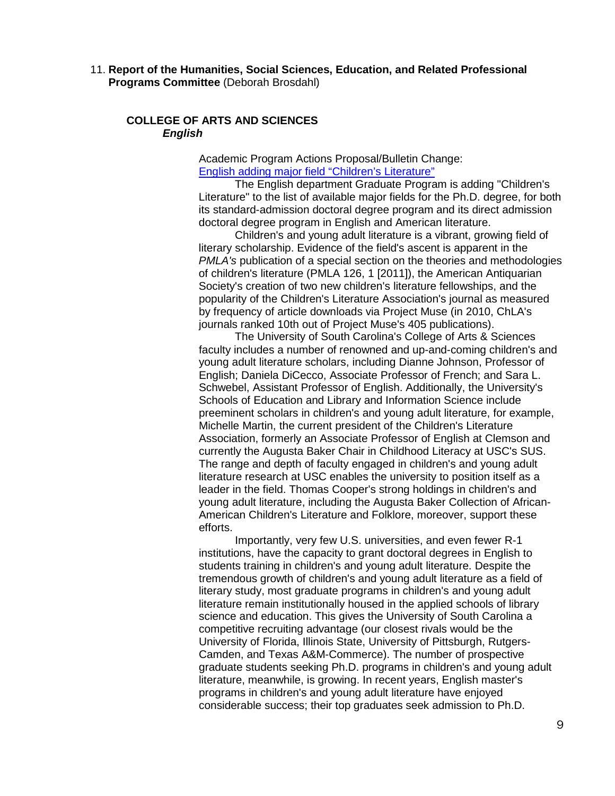11. **Report of the Humanities, Social Sciences, Education, and Related Professional Programs Committee** (Deborah Brosdahl)

### **COLLEGE OF ARTS AND SCIENCES** *English*

Academic Program Actions Proposal/Bulletin Change: [English adding major field "Children's Literature"](http://app.gradschool.sc.edu/includes/filedownload-public.asp?location=E:\GMS\GRADCOUNCIL\2011\APAENGCHILLIT_201211.pdf&file_name=APAENGCHILLIT_201211.pdf)

The English department Graduate Program is adding "Children's Literature" to the list of available major fields for the Ph.D. degree, for both its standard-admission doctoral degree program and its direct admission doctoral degree program in English and American literature.

Children's and young adult literature is a vibrant, growing field of literary scholarship. Evidence of the field's ascent is apparent in the **PMLA's publication of a special section on the theories and methodologies** of children's literature (PMLA 126, 1 [2011]), the American Antiquarian Society's creation of two new children's literature fellowships, and the popularity of the Children's Literature Association's journal as measured by frequency of article downloads via Project Muse (in 2010, ChLA's journals ranked 10th out of Project Muse's 405 publications).

The University of South Carolina's College of Arts & Sciences faculty includes a number of renowned and up-and-coming children's and young adult literature scholars, including Dianne Johnson, Professor of English; Daniela DiCecco, Associate Professor of French; and Sara L. Schwebel, Assistant Professor of English. Additionally, the University's Schools of Education and Library and Information Science include preeminent scholars in children's and young adult literature, for example, Michelle Martin, the current president of the Children's Literature Association, formerly an Associate Professor of English at Clemson and currently the Augusta Baker Chair in Childhood Literacy at USC's SUS. The range and depth of faculty engaged in children's and young adult literature research at USC enables the university to position itself as a leader in the field. Thomas Cooper's strong holdings in children's and young adult literature, including the Augusta Baker Collection of African-American Children's Literature and Folklore, moreover, support these efforts.

Importantly, very few U.S. universities, and even fewer R-1 institutions, have the capacity to grant doctoral degrees in English to students training in children's and young adult literature. Despite the tremendous growth of children's and young adult literature as a field of literary study, most graduate programs in children's and young adult literature remain institutionally housed in the applied schools of library science and education. This gives the University of South Carolina a competitive recruiting advantage (our closest rivals would be the University of Florida, Illinois State, University of Pittsburgh, Rutgers-Camden, and Texas A&M-Commerce). The number of prospective graduate students seeking Ph.D. programs in children's and young adult literature, meanwhile, is growing. In recent years, English master's programs in children's and young adult literature have enjoyed considerable success; their top graduates seek admission to Ph.D.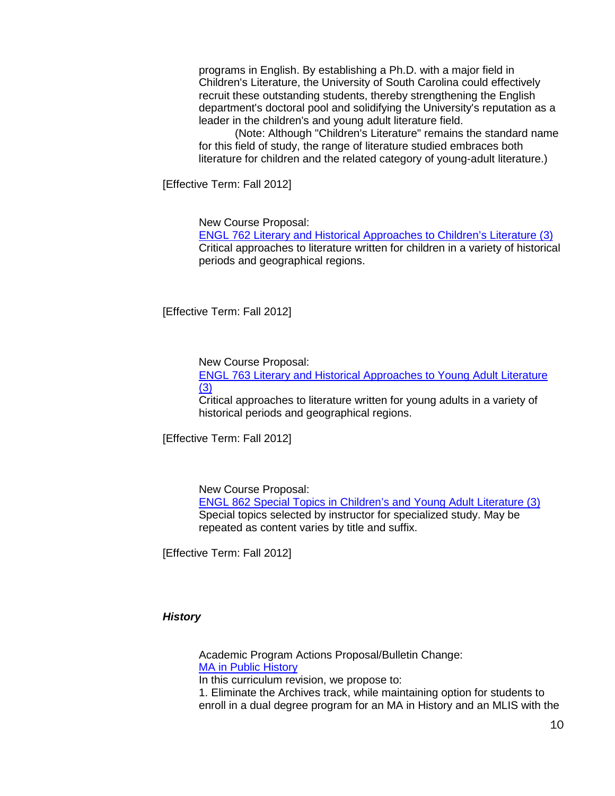programs in English. By establishing a Ph.D. with a major field in Children's Literature, the University of South Carolina could effectively recruit these outstanding students, thereby strengthening the English department's doctoral pool and solidifying the University's reputation as a leader in the children's and young adult literature field.

(Note: Although "Children's Literature" remains the standard name for this field of study, the range of literature studied embraces both literature for children and the related category of young-adult literature.)

[Effective Term: Fall 2012]

New Course Proposal:

[ENGL 762 Literary and Historical Approaches to Children's Literature](http://app.gradschool.sc.edu/includes/filedownload-public.asp?location=E:\GMS\GRADCOUNCIL\2011\NCPENGL762_201211.pdf&file_name=NCPENGL762_201211.pdf) (3) Critical approaches to literature written for children in a variety of historical periods and geographical regions.

[Effective Term: Fall 2012]

New Course Proposal:

ENGL 763 [Literary and Historical Approaches to Young Adult Literature](http://app.gradschool.sc.edu/includes/filedownload-public.asp?location=E:\GMS\GRADCOUNCIL\2011\NCPENGL763_201211.pdf&file_name=NCPENGL763_201211.pdf) [\(3\)](http://app.gradschool.sc.edu/includes/filedownload-public.asp?location=E:\GMS\GRADCOUNCIL\2011\NCPENGL763_201211.pdf&file_name=NCPENGL763_201211.pdf)

Critical approaches to literature written for young adults in a variety of historical periods and geographical regions.

[Effective Term: Fall 2012]

New Course Proposal:

ENGL 862 [Special Topics in Children's and Young Adult Literature](http://app.gradschool.sc.edu/includes/filedownload-public.asp?location=E:\GMS\GRADCOUNCIL\2011\NCPENGL862_201211.pdf&file_name=NCPENGL862_201211.pdf) (3) Special topics selected by instructor for specialized study. May be repeated as content varies by title and suffix.

[Effective Term: Fall 2012]

## *History*

Academic Program Actions Proposal/Bulletin Change: [MA in Public History](http://app.gradschool.sc.edu/includes/filedownload-public.asp?location=E:\GMS\GRADCOUNCIL\2011\APAPUBLICHISTORYMA_201211.pdf&file_name=APAPUBLICHISTORYMA_201211.pdf)

In this curriculum revision, we propose to:

1. Eliminate the Archives track, while maintaining option for students to enroll in a dual degree program for an MA in History and an MLIS with the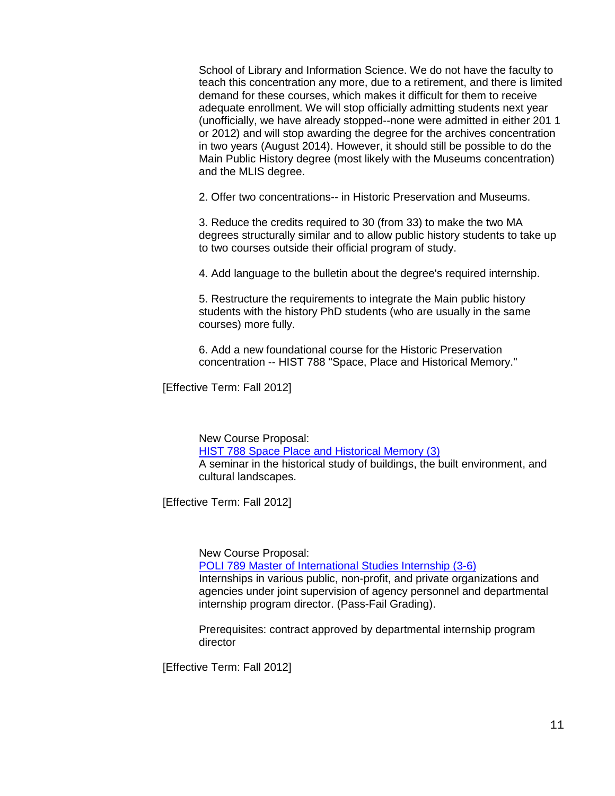School of Library and Information Science. We do not have the faculty to teach this concentration any more, due to a retirement, and there is limited demand for these courses, which makes it difficult for them to receive adequate enrollment. We will stop officially admitting students next year (unofficially, we have already stopped--none were admitted in either 201 1 or 2012) and will stop awarding the degree for the archives concentration in two years (August 2014). However, it should still be possible to do the Main Public History degree (most likely with the Museums concentration) and the MLIS degree.

2. Offer two concentrations-- in Historic Preservation and Museums.

3. Reduce the credits required to 30 (from 33) to make the two MA degrees structurally similar and to allow public history students to take up to two courses outside their official program of study.

4. Add language to the bulletin about the degree's required internship.

5. Restructure the requirements to integrate the Main public history students with the history PhD students (who are usually in the same courses) more fully.

6. Add a new foundational course for the Historic Preservation concentration -- HIST 788 "Space, Place and Historical Memory."

[Effective Term: Fall 2012]

New Course Proposal: [HIST 788 Space Place and Historical Memory \(3\)](http://app.gradschool.sc.edu/includes/filedownload-public.asp?location=E:\GMS\GRADCOUNCIL\2011\NCPHIST788_201211.pdf&file_name=NCPHIST788_201211.pdf) A seminar in the historical study of buildings, the built environment, and cultural landscapes.

[Effective Term: Fall 2012]

New Course Proposal:

[POLI 789 Master of International Studies Internship \(3-6\)](http://app.gradschool.sc.edu/includes/filedownload-public.asp?location=E:\GMS\GRADCOUNCIL\2011\NCPPOLI789_201211.pdf&file_name=NCPPOLI789_201211.pdf) Internships in various public, non-profit, and private organizations and agencies under joint supervision of agency personnel and departmental internship program director. (Pass-Fail Grading).

Prerequisites: contract approved by departmental internship program director

[Effective Term: Fall 2012]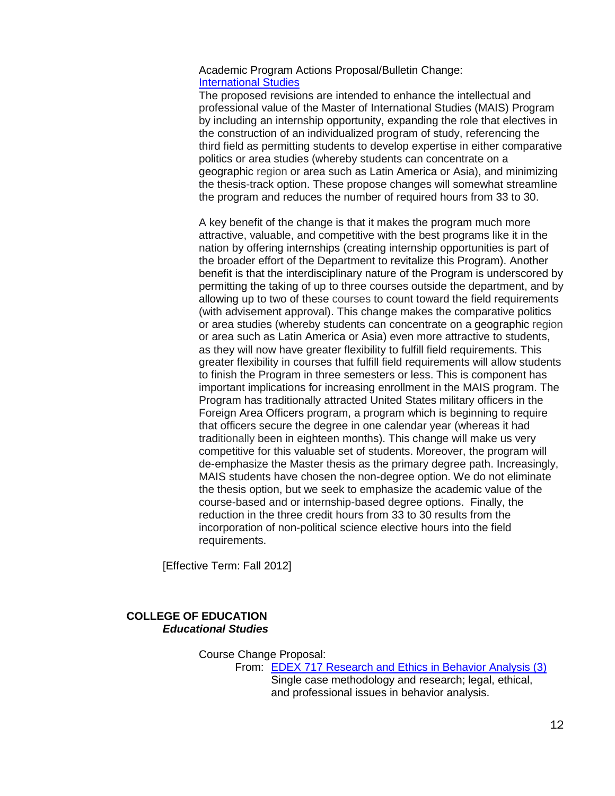### Academic Program Actions Proposal/Bulletin Change: [International Studies](http://app.gradschool.sc.edu/includes/filedownload-public.asp?location=E:\GMS\GRADCOUNCIL\2011\APAIntlStudies_201211.pdf&file_name=APAIntlStudies_201211.pdf)

The proposed revisions are intended to enhance the intellectual and professional value of the Master of International Studies (MAIS) Program by including an internship opportunity, expanding the role that electives in the construction of an individualized program of study, referencing the third field as permitting students to develop expertise in either comparative politics or area studies (whereby students can concentrate on a geographic region or area such as Latin America or Asia), and minimizing the thesis-track option. These propose changes will somewhat streamline the program and reduces the number of required hours from 33 to 30.

A key benefit of the change is that it makes the program much more attractive, valuable, and competitive with the best programs like it in the nation by offering internships (creating internship opportunities is part of the broader effort of the Department to revitalize this Program). Another benefit is that the interdisciplinary nature of the Program is underscored by permitting the taking of up to three courses outside the department, and by allowing up to two of these courses to count toward the field requirements (with advisement approval). This change makes the comparative politics or area studies (whereby students can concentrate on a geographic region or area such as Latin America or Asia) even more attractive to students, as they will now have greater flexibility to fulfill field requirements. This greater flexibility in courses that fulfill field requirements will allow students to finish the Program in three semesters or less. This is component has important implications for increasing enrollment in the MAIS program. The Program has traditionally attracted United States military officers in the Foreign Area Officers program, a program which is beginning to require that officers secure the degree in one calendar year (whereas it had traditionally been in eighteen months). This change will make us very competitive for this valuable set of students. Moreover, the program will de-emphasize the Master thesis as the primary degree path. Increasingly, MAIS students have chosen the non-degree option. We do not eliminate the thesis option, but we seek to emphasize the academic value of the course-based and or internship-based degree options. Finally, the reduction in the three credit hours from 33 to 30 results from the incorporation of non-political science elective hours into the field requirements.

[Effective Term: Fall 2012]

## **COLLEGE OF EDUCATION** *Educational Studies*

Course Change Proposal:

From: [EDEX 717 Research and Ethics in Behavior Analysis \(3\)](http://app.gradschool.sc.edu/includes/filedownload-public.asp?location=E:\GMS\GRADCOUNCIL\2011\CCPEDEX717_201211.pdf&file_name=CCPEDEX717_201211.pdf) Single case methodology and research; legal, ethical, and professional issues in behavior analysis.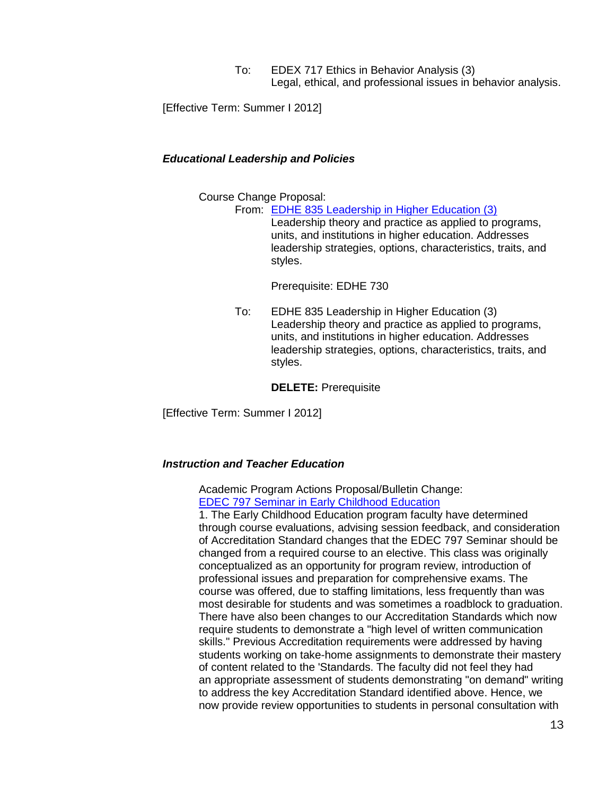To: EDEX 717 Ethics in Behavior Analysis (3) Legal, ethical, and professional issues in behavior analysis.

[Effective Term: Summer I 2012]

#### *Educational Leadership and Policies*

Course Change Proposal:

From: [EDHE 835 Leadership in Higher Education \(3\)](http://app.gradschool.sc.edu/includes/filedownload-public.asp?location=E:\GMS\GRADCOUNCIL\2011\CCPEDHE835_201211.pdf&file_name=CCPEDHE835_201211.pdf)

Leadership theory and practice as applied to programs, units, and institutions in higher education. Addresses leadership strategies, options, characteristics, traits, and styles.

Prerequisite: EDHE 730

To: EDHE 835 Leadership in Higher Education (3) Leadership theory and practice as applied to programs, units, and institutions in higher education. Addresses leadership strategies, options, characteristics, traits, and styles.

**DELETE:** Prerequisite

[Effective Term: Summer I 2012]

#### *Instruction and Teacher Education*

Academic Program Actions Proposal/Bulletin Change: [EDEC 797 Seminar in Early Childhood Education](http://app.gradschool.sc.edu/includes/filedownload-public.asp?location=E:\GMS\GRADCOUNCIL\2011\APAEDEC797_201211.pdf&file_name=APAEDEC797_201211.pdf)

1. The Early Childhood Education program faculty have determined through course evaluations, advising session feedback, and consideration of Accreditation Standard changes that the EDEC 797 Seminar should be changed from a required course to an elective. This class was originally conceptualized as an opportunity for program review, introduction of professional issues and preparation for comprehensive exams. The course was offered, due to staffing limitations, less frequently than was most desirable for students and was sometimes a roadblock to graduation. There have also been changes to our Accreditation Standards which now require students to demonstrate a "high level of written communication skills." Previous Accreditation requirements were addressed by having students working on take-home assignments to demonstrate their mastery of content related to the 'Standards. The faculty did not feel they had an appropriate assessment of students demonstrating "on demand" writing to address the key Accreditation Standard identified above. Hence, we now provide review opportunities to students in personal consultation with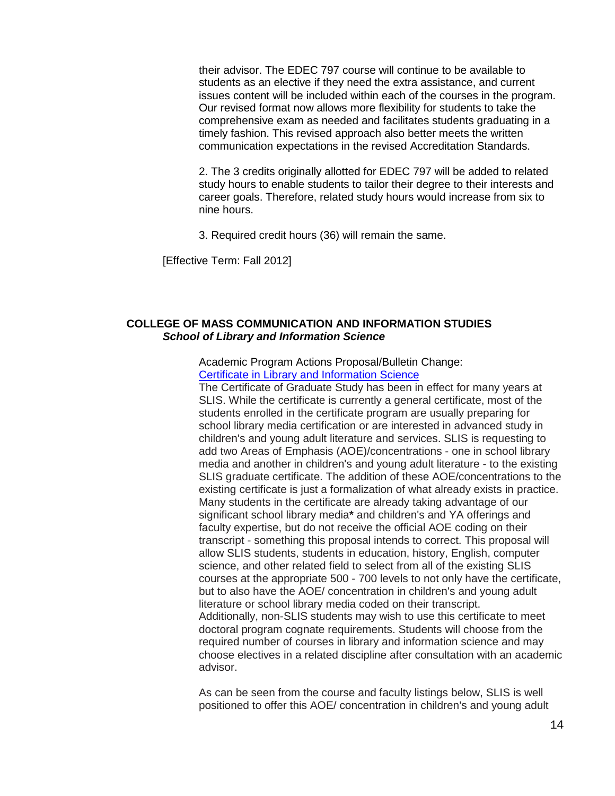their advisor. The EDEC 797 course will continue to be available to students as an elective if they need the extra assistance, and current issues content will be included within each of the courses in the program. Our revised format now allows more flexibility for students to take the comprehensive exam as needed and facilitates students graduating in a timely fashion. This revised approach also better meets the written communication expectations in the revised Accreditation Standards.

2. The 3 credits originally allotted for EDEC 797 will be added to related study hours to enable students to tailor their degree to their interests and career goals. Therefore, related study hours would increase from six to nine hours.

3. Required credit hours (36) will remain the same.

[Effective Term: Fall 2012]

### **COLLEGE OF MASS COMMUNICATION AND INFORMATION STUDIES** *School of Library and Information Science*

Academic Program Actions Proposal/Bulletin Change: [Certificate in Library and Information Science](http://app.gradschool.sc.edu/includes/filedownload-public.asp?location=E:\GMS\GRADCOUNCIL\2011\APASLISCERT_201211.pdf&file_name=APASLISCERT_201211.pdf)

The Certificate of Graduate Study has been in effect for many years at SLIS. While the certificate is currently a general certificate, most of the students enrolled in the certificate program are usually preparing for school library media certification or are interested in advanced study in children's and young adult literature and services. SLIS is requesting to add two Areas of Emphasis (AOE)/concentrations - one in school library media and another in children's and young adult literature - to the existing SLIS graduate certificate. The addition of these AOE/concentrations to the existing certificate is just a formalization of what already exists in practice. Many students in the certificate are already taking advantage of our significant school library media**\*** and children's and YA offerings and faculty expertise, but do not receive the official AOE coding on their transcript - something this proposal intends to correct. This proposal will allow SLIS students, students in education, history, English, computer science, and other related field to select from all of the existing SLIS courses at the appropriate 500 - 700 levels to not only have the certificate, but to also have the AOE/ concentration in children's and young adult literature or school library media coded on their transcript. Additionally, non-SLIS students may wish to use this certificate to meet doctoral program cognate requirements. Students will choose from the required number of courses in library and information science and may choose electives in a related discipline after consultation with an academic advisor.

As can be seen from the course and faculty listings below, SLIS is well positioned to offer this AOE/ concentration in children's and young adult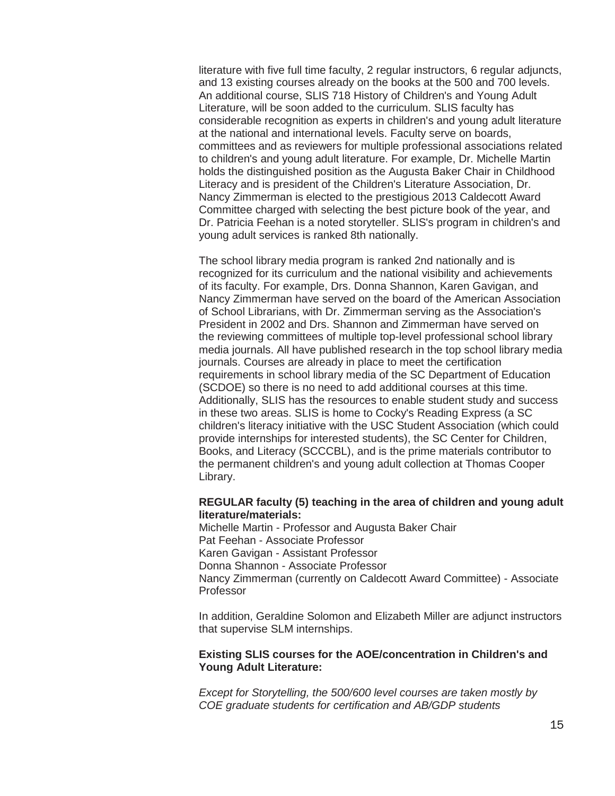literature with five full time faculty, 2 regular instructors, 6 regular adjuncts, and 13 existing courses already on the books at the 500 and 700 levels. An additional course, SLIS 718 History of Children's and Young Adult Literature, will be soon added to the curriculum. SLIS faculty has considerable recognition as experts in children's and young adult literature at the national and international levels. Faculty serve on boards, committees and as reviewers for multiple professional associations related to children's and young adult literature. For example, Dr. Michelle Martin holds the distinguished position as the Augusta Baker Chair in Childhood Literacy and is president of the Children's Literature Association, Dr. Nancy Zimmerman is elected to the prestigious 2013 Caldecott Award Committee charged with selecting the best picture book of the year, and Dr. Patricia Feehan is a noted storyteller. SLIS's program in children's and young adult services is ranked 8th nationally.

The school library media program is ranked 2nd nationally and is recognized for its curriculum and the national visibility and achievements of its faculty. For example, Drs. Donna Shannon, Karen Gavigan, and Nancy Zimmerman have served on the board of the American Association of School Librarians, with Dr. Zimmerman serving as the Association's President in 2002 and Drs. Shannon and Zimmerman have served on the reviewing committees of multiple top-level professional school library media journals. All have published research in the top school library media journals. Courses are already in place to meet the certification requirements in school library media of the SC Department of Education (SCDOE) so there is no need to add additional courses at this time. Additionally, SLIS has the resources to enable student study and success in these two areas. SLIS is home to Cocky's Reading Express (a SC children's literacy initiative with the USC Student Association (which could provide internships for interested students), the SC Center for Children, Books, and Literacy (SCCCBL), and is the prime materials contributor to the permanent children's and young adult collection at Thomas Cooper Library.

#### **REGULAR faculty (5) teaching in the area of children and young adult literature/materials:**

Michelle Martin - Professor and Augusta Baker Chair Pat Feehan - Associate Professor Karen Gavigan - Assistant Professor Donna Shannon - Associate Professor Nancy Zimmerman (currently on Caldecott Award Committee) - Associate Professor

In addition, Geraldine Solomon and Elizabeth Miller are adjunct instructors that supervise SLM internships.

### **Existing SLIS courses for the AOE/concentration in Children's and Young Adult Literature:**

*Except for Storytelling, the 500/600 level courses are taken mostly by COE graduate students for certification and AB/GDP students*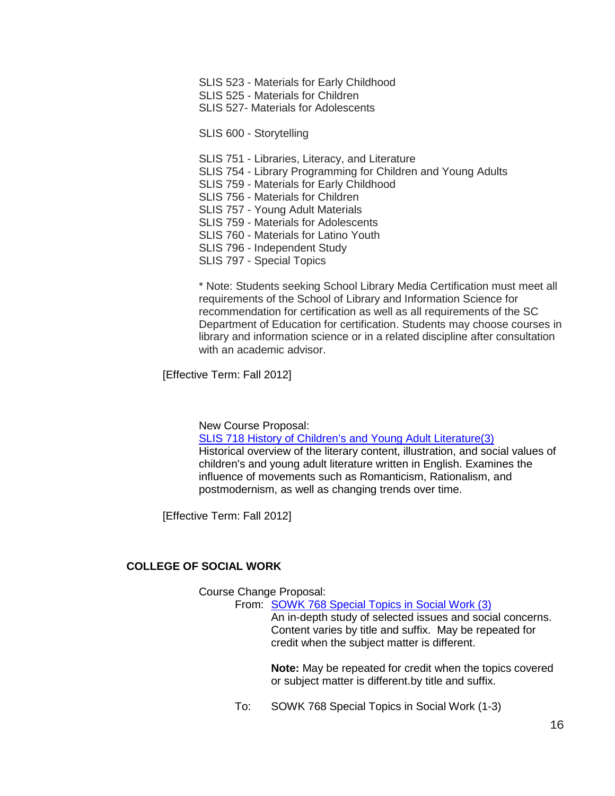SLIS 523 - Materials for Early Childhood SLIS 525 - Materials for Children SLIS 527- Materials for Adolescents

SLIS 600 - Storytelling

SLIS 751 - Libraries, Literacy, and Literature

- SLIS 754 Library Programming for Children and Young Adults
- SLIS 759 Materials for Early Childhood
- SLIS 756 Materials for Children
- SLIS 757 Young Adult Materials
- SLIS 759 Materials for Adolescents
- SLIS 760 Materials for Latino Youth
- SLIS 796 Independent Study
- SLIS 797 Special Topics

\* Note: Students seeking School Library Media Certification must meet all requirements of the School of Library and Information Science for recommendation for certification as well as all requirements of the SC Department of Education for certification. Students may choose courses in library and information science or in a related discipline after consultation with an academic advisor.

[Effective Term: Fall 2012]

New Course Proposal:

[SLIS 718 History of Children's and Young Adult Literature\(3\)](http://app.gradschool.sc.edu/includes/filedownload-public.asp?location=E:\GMS\GRADCOUNCIL\2011\NCPSLIS718_201211.pdf&file_name=NCPSLIS718_201211.pdf) Historical overview of the literary content, illustration, and social values of children's and young adult literature written in English. Examines the influence of movements such as Romanticism, Rationalism, and postmodernism, as well as changing trends over time.

[Effective Term: Fall 2012]

## **COLLEGE OF SOCIAL WORK**

Course Change Proposal:

From: [SOWK 768 Special Topics in Social Work \(3\)](http://app.gradschool.sc.edu/includes/filedownload-public.asp?location=E:\GMS\GRADCOUNCIL\2011\CCPSOWK768_201211.pdf&file_name=CCPSOWK768_201211.pdf)

An in-depth study of selected issues and social concerns. Content varies by title and suffix. May be repeated for credit when the subject matter is different.

**Note:** May be repeated for credit when the topics covered or subject matter is different.by title and suffix.

To: SOWK 768 Special Topics in Social Work (1-3)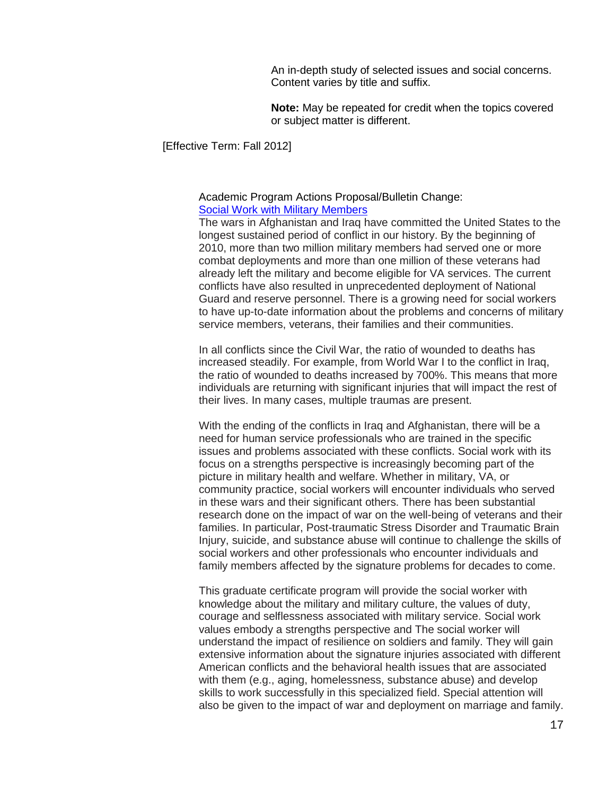An in-depth study of selected issues and social concerns. Content varies by title and suffix.

**Note:** May be repeated for credit when the topics covered or subject matter is different.

[Effective Term: Fall 2012]

#### Academic Program Actions Proposal/Bulletin Change: [Social Work with Military Members](http://app.gradschool.sc.edu/includes/filedownload-public.asp?location=E:\GMS\GRADCOUNCIL\2011\APASOWKMilitary_201211.pdf&file_name=APASOWKMilitary_201211.pdf)

The wars in Afghanistan and Iraq have committed the United States to the longest sustained period of conflict in our history. By the beginning of 2010, more than two million military members had served one or more combat deployments and more than one million of these veterans had already left the military and become eligible for VA services. The current conflicts have also resulted in unprecedented deployment of National Guard and reserve personnel. There is a growing need for social workers to have up-to-date information about the problems and concerns of military service members, veterans, their families and their communities.

In all conflicts since the Civil War, the ratio of wounded to deaths has increased steadily. For example, from World War I to the conflict in Iraq, the ratio of wounded to deaths increased by 700%. This means that more individuals are returning with significant injuries that will impact the rest of their lives. In many cases, multiple traumas are present.

With the ending of the conflicts in Iraq and Afghanistan, there will be a need for human service professionals who are trained in the specific issues and problems associated with these conflicts. Social work with its focus on a strengths perspective is increasingly becoming part of the picture in military health and welfare. Whether in military, VA, or community practice, social workers will encounter individuals who served in these wars and their significant others. There has been substantial research done on the impact of war on the well-being of veterans and their families. In particular, Post-traumatic Stress Disorder and Traumatic Brain Injury, suicide, and substance abuse will continue to challenge the skills of social workers and other professionals who encounter individuals and family members affected by the signature problems for decades to come.

This graduate certificate program will provide the social worker with knowledge about the military and military culture, the values of duty, courage and selflessness associated with military service. Social work values embody a strengths perspective and The social worker will understand the impact of resilience on soldiers and family. They will gain extensive information about the signature injuries associated with different American conflicts and the behavioral health issues that are associated with them (e.g., aging, homelessness, substance abuse) and develop skills to work successfully in this specialized field. Special attention will also be given to the impact of war and deployment on marriage and family.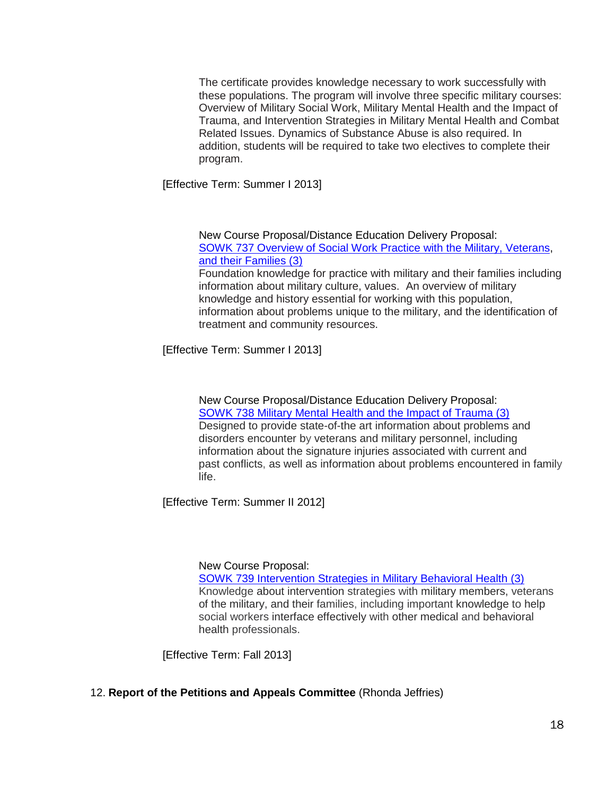The certificate provides knowledge necessary to work successfully with these populations. The program will involve three specific military courses: Overview of Military Social Work, Military Mental Health and the Impact of Trauma, and Intervention Strategies in Military Mental Health and Combat Related Issues. Dynamics of Substance Abuse is also required. In addition, students will be required to take two electives to complete their program.

[Effective Term: Summer I 2013]

New Course Proposal/Distance Education Delivery Proposal: [SOWK 737 Overview of Social Work Practice with the Military, Veterans,](http://app.gradschool.sc.edu/includes/filedownload-public.asp?location=E:\GMS\GRADCOUNCIL\2011\NCPSOWK737_201211.pdf&file_name=NCPSOWK737_201211.pdf) [and their Families \(3\)](http://app.gradschool.sc.edu/includes/filedownload-public.asp?location=E:\GMS\GRADCOUNCIL\2011\NCPSOWK737_201211.pdf&file_name=NCPSOWK737_201211.pdf)

Foundation knowledge for practice with military and their families including information about military culture, values. An overview of military knowledge and history essential for working with this population, information about problems unique to the military, and the identification of treatment and community resources.

[Effective Term: Summer I 2013]

New Course Proposal/Distance Education Delivery Proposal: [SOWK 738 Military Mental Health and the Impact of Trauma \(3\)](http://app.gradschool.sc.edu/includes/filedownload-public.asp?location=E:\GMS\GRADCOUNCIL\2011\NCPSOWK738_201211.pdf&file_name=NCPSOWK738_201211.pdf) Designed to provide state-of-the art information about problems and disorders encounter by veterans and military personnel, including information about the signature injuries associated with current and past conflicts, as well as information about problems encountered in family life.

[Effective Term: Summer II 2012]

#### New Course Proposal:

[SOWK 739 Intervention Strategies in Military Behavioral Health \(3\)](http://app.gradschool.sc.edu/includes/filedownload-public.asp?location=E:\GMS\GRADCOUNCIL\2011\NCPSOWK739_201211.pdf&file_name=NCPSOWK739_201211.pdf) Knowledge about intervention strategies with military members, veterans of the military, and their families, including important knowledge to help social workers interface effectively with other medical and behavioral health professionals.

[Effective Term: Fall 2013]

## 12. **Report of the Petitions and Appeals Committee** (Rhonda Jeffries)